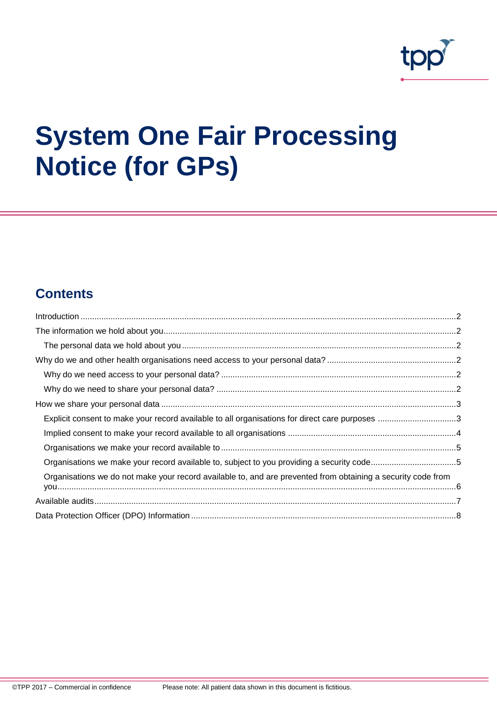

# **System One Fair Processing Notice (for GPs)**

# **Contents**

| Explicit consent to make your record available to all organisations for direct care purposes 3               |  |
|--------------------------------------------------------------------------------------------------------------|--|
|                                                                                                              |  |
|                                                                                                              |  |
| Organisations we make your record available to, subject to you providing a security code5                    |  |
| Organisations we do not make your record available to, and are prevented from obtaining a security code from |  |
|                                                                                                              |  |
|                                                                                                              |  |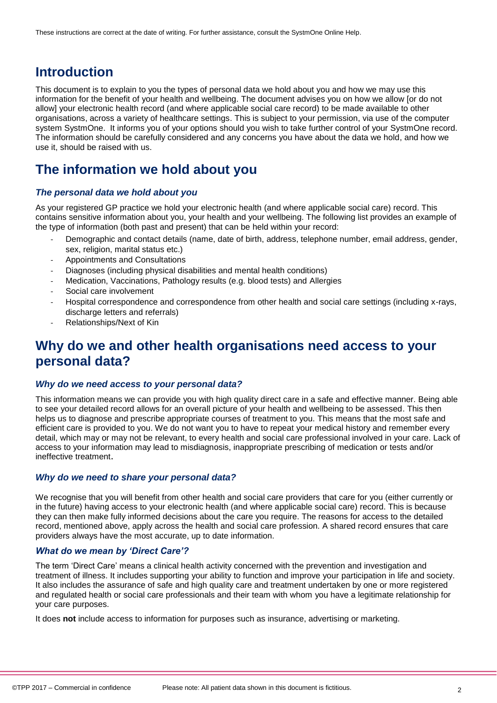# <span id="page-1-0"></span>**Introduction**

This document is to explain to you the types of personal data we hold about you and how we may use this information for the benefit of your health and wellbeing. The document advises you on how we allow [or do not allow] your electronic health record (and where applicable social care record) to be made available to other organisations, across a variety of healthcare settings. This is subject to your permission, via use of the computer system SystmOne. It informs you of your options should you wish to take further control of your SystmOne record. The information should be carefully considered and any concerns you have about the data we hold, and how we use it, should be raised with us.

# <span id="page-1-1"></span>**The information we hold about you**

### <span id="page-1-2"></span>*The personal data we hold about you*

As your registered GP practice we hold your electronic health (and where applicable social care) record. This contains sensitive information about you, your health and your wellbeing. The following list provides an example of the type of information (both past and present) that can be held within your record:

- Demographic and contact details (name, date of birth, address, telephone number, email address, gender, sex, religion, marital status etc.)
- Appointments and Consultations
- Diagnoses (including physical disabilities and mental health conditions)
- Medication, Vaccinations, Pathology results (e.g. blood tests) and Allergies
- Social care involvement
- Hospital correspondence and correspondence from other health and social care settings (including x-rays, discharge letters and referrals)
- Relationships/Next of Kin

# <span id="page-1-3"></span>**Why do we and other health organisations need access to your personal data?**

### <span id="page-1-4"></span>*Why do we need access to your personal data?*

This information means we can provide you with high quality direct care in a safe and effective manner. Being able to see your detailed record allows for an overall picture of your health and wellbeing to be assessed. This then helps us to diagnose and prescribe appropriate courses of treatment to you. This means that the most safe and efficient care is provided to you. We do not want you to have to repeat your medical history and remember every detail, which may or may not be relevant, to every health and social care professional involved in your care. Lack of access to your information may lead to misdiagnosis, inappropriate prescribing of medication or tests and/or ineffective treatment.

### <span id="page-1-5"></span>*Why do we need to share your personal data?*

We recognise that you will benefit from other health and social care providers that care for you (either currently or in the future) having access to your electronic health (and where applicable social care) record. This is because they can then make fully informed decisions about the care you require. The reasons for access to the detailed record, mentioned above, apply across the health and social care profession. A shared record ensures that care providers always have the most accurate, up to date information.

### *What do we mean by 'Direct Care'?*

The term 'Direct Care' means a clinical health activity concerned with the prevention and investigation and treatment of illness. It includes supporting your ability to function and improve your participation in life and society. It also includes the assurance of safe and high quality care and treatment undertaken by one or more registered and regulated health or social care professionals and their team with whom you have a legitimate relationship for your care purposes.

It does **not** include access to information for purposes such as insurance, advertising or marketing.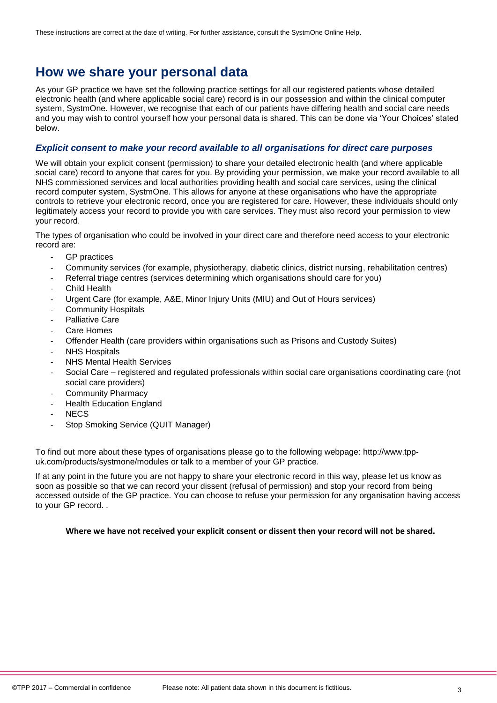# <span id="page-2-0"></span>**How we share your personal data**

As your GP practice we have set the following practice settings for all our registered patients whose detailed electronic health (and where applicable social care) record is in our possession and within the clinical computer system, SystmOne. However, we recognise that each of our patients have differing health and social care needs and you may wish to control yourself how your personal data is shared. This can be done via 'Your Choices' stated below.

## <span id="page-2-1"></span>*Explicit consent to make your record available to all organisations for direct care purposes*

We will obtain your explicit consent (permission) to share your detailed electronic health (and where applicable social care) record to anyone that cares for you. By providing your permission, we make your record available to all NHS commissioned services and local authorities providing health and social care services, using the clinical record computer system, SystmOne. This allows for anyone at these organisations who have the appropriate controls to retrieve your electronic record, once you are registered for care. However, these individuals should only legitimately access your record to provide you with care services. They must also record your permission to view your record.

The types of organisation who could be involved in your direct care and therefore need access to your electronic record are:

- GP practices
- Community services (for example, physiotherapy, diabetic clinics, district nursing, rehabilitation centres)
- Referral triage centres (services determining which organisations should care for you)
- **Child Health**
- Urgent Care (for example, A&E, Minor Injury Units (MIU) and Out of Hours services)
- Community Hospitals
- Palliative Care
- Care Homes
- Offender Health (care providers within organisations such as Prisons and Custody Suites)
- **NHS Hospitals**
- **NHS Mental Health Services**
- Social Care registered and regulated professionals within social care organisations coordinating care (not social care providers)
- Community Pharmacy
- **Health Education England**
- NEC<sub>S</sub>
- Stop Smoking Service (QUIT Manager)

To find out more about these types of organisations please go to the following webpage: [http://www.tpp](http://www.tpp-uk.com/products/systmone/modules)[uk.com/products/systmone/modules](http://www.tpp-uk.com/products/systmone/modules) or talk to a member of your GP practice.

If at any point in the future you are not happy to share your electronic record in this way, please let us know as soon as possible so that we can record your dissent (refusal of permission) and stop your record from being accessed outside of the GP practice. You can choose to refuse your permission for any organisation having access to your GP record. .

#### **Where we have not received your explicit consent or dissent then your record will not be shared.**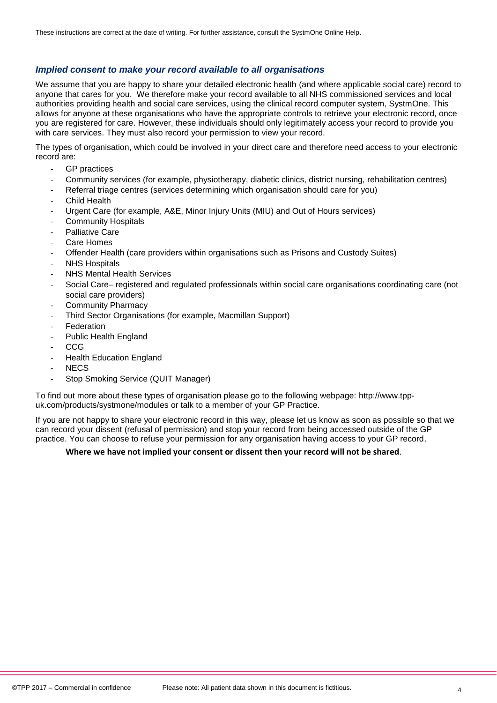# <span id="page-3-0"></span>*Implied consent to make your record available to all organisations*

We assume that you are happy to share your detailed electronic health (and where applicable social care) record to anyone that cares for you. We therefore make your record available to all NHS commissioned services and local authorities providing health and social care services, using the clinical record computer system, SystmOne. This allows for anyone at these organisations who have the appropriate controls to retrieve your electronic record, once you are registered for care. However, these individuals should only legitimately access your record to provide you with care services. They must also record your permission to view your record.

The types of organisation, which could be involved in your direct care and therefore need access to your electronic record are:

- GP practices
- Community services (for example, physiotherapy, diabetic clinics, district nursing, rehabilitation centres)
- Referral triage centres (services determining which organisation should care for you)
- **Child Health**
- Urgent Care (for example, A&E, Minor Injury Units (MIU) and Out of Hours services)
- Community Hospitals
- Palliative Care
- Care Homes
- Offender Health (care providers within organisations such as Prisons and Custody Suites)
- **NHS Hospitals**
- NHS Mental Health Services
- Social Care– registered and regulated professionals within social care organisations coordinating care (not social care providers)
- Community Pharmacy
- Third Sector Organisations (for example, Macmillan Support)
- **Federation**
- Public Health England
- CCG
- **Health Education England**
- NEC<sub>S</sub>
- Stop Smoking Service (QUIT Manager)

To find out more about these types of organisation please go to the following webpage: [http://www.tpp](http://www.tpp-uk.com/products/systmone/modules)[uk.com/products/systmone/modules](http://www.tpp-uk.com/products/systmone/modules) or talk to a member of your GP Practice.

If you are not happy to share your electronic record in this way, please let us know as soon as possible so that we can record your dissent (refusal of permission) and stop your record from being accessed outside of the GP practice. You can choose to refuse your permission for any organisation having access to your GP record.

### **Where we have not implied your consent or dissent then your record will not be shared**.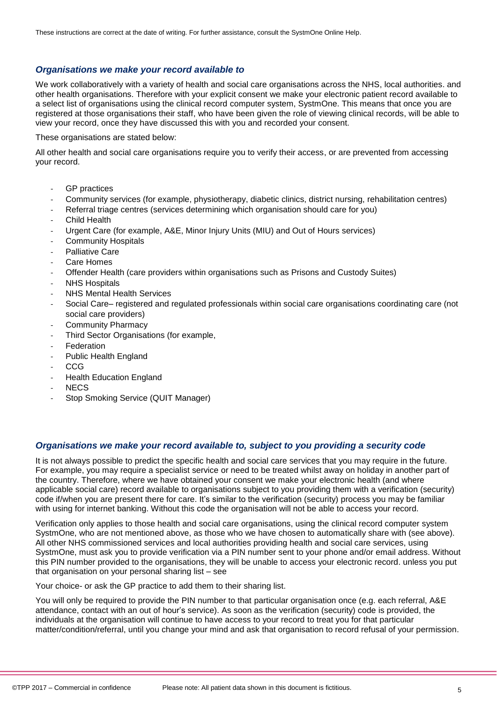# <span id="page-4-0"></span>*Organisations we make your record available to*

We work collaboratively with a variety of health and social care organisations across the NHS, local authorities. and other health organisations. Therefore with your explicit consent we make your electronic patient record available to a select list of organisations using the clinical record computer system, SystmOne. This means that once you are registered at those organisations their staff, who have been given the role of viewing clinical records, will be able to view your record, once they have discussed this with you and recorded your consent.

#### These organisations are stated below:

All other health and social care organisations require you to verify their access, or are prevented from accessing your record.

- GP practices
- Community services (for example, physiotherapy, diabetic clinics, district nursing, rehabilitation centres)
- Referral triage centres (services determining which organisation should care for you)
- Child Health
- Urgent Care (for example, A&E, Minor Injury Units (MIU) and Out of Hours services)
- Community Hospitals
- Palliative Care
- Care Homes
- Offender Health (care providers within organisations such as Prisons and Custody Suites)
- **NHS Hospitals**
- NHS Mental Health Services
- Social Care– registered and regulated professionals within social care organisations coordinating care (not social care providers)
- Community Pharmacy
- Third Sector Organisations (for example,
- **Federation**
- Public Health England
- CCG
- **Health Education England**
- NEC<sub>S</sub>
- Stop Smoking Service (QUIT Manager)

### <span id="page-4-1"></span>*Organisations we make your record available to, subject to you providing a security code*

It is not always possible to predict the specific health and social care services that you may require in the future. For example, you may require a specialist service or need to be treated whilst away on holiday in another part of the country. Therefore, where we have obtained your consent we make your electronic health (and where applicable social care) record available to organisations subject to you providing them with a verification (security) code if/when you are present there for care. It's similar to the verification (security) process you may be familiar with using for internet banking. Without this code the organisation will not be able to access your record.

Verification only applies to those health and social care organisations, using the clinical record computer system SystmOne, who are not mentioned above, as those who we have chosen to automatically share with (see above). All other NHS commissioned services and local authorities providing health and social care services, using SystmOne, must ask you to provide verification via a PIN number sent to your phone and/or email address. Without this PIN number provided to the organisations, they will be unable to access your electronic record. unless you put that organisation on your personal sharing list – see

[Your choice-](#page-5-1) or ask the GP practice to add them to their sharing list.

You will only be required to provide the PIN number to that particular organisation once (e.g. each referral, A&E attendance, contact with an out of hour's service). As soon as the verification (security) code is provided, the individuals at the organisation will continue to have access to your record to treat you for that particular matter/condition/referral, until you change your mind and ask that organisation to record refusal of your permission.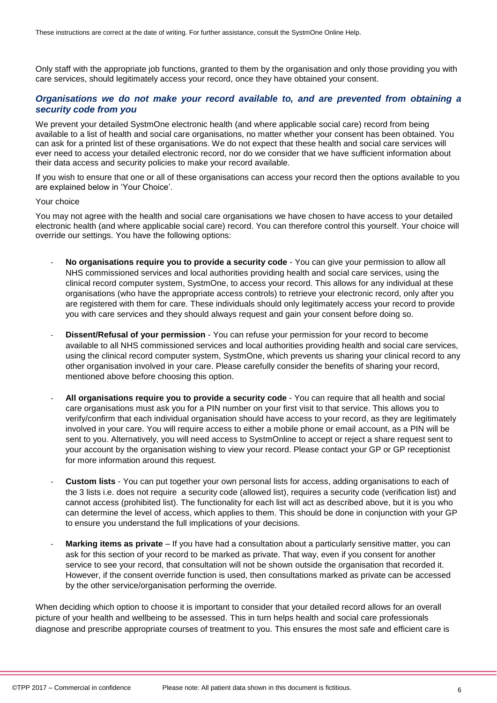Only staff with the appropriate job functions, granted to them by the organisation and only those providing you with care services, should legitimately access your record, once they have obtained your consent.

### <span id="page-5-0"></span>*Organisations we do not make your record available to, and are prevented from obtaining a security code from you*

We prevent your detailed SystmOne electronic health (and where applicable social care) record from being available to a list of health and social care organisations, no matter whether your consent has been obtained. You can ask for a printed list of these organisations. We do not expect that these health and social care services will ever need to access your detailed electronic record, nor do we consider that we have sufficient information about their data access and security policies to make your record available.

If you wish to ensure that one or all of these organisations can access your record then the options available to you are explained below in 'Your Choice'.

#### <span id="page-5-1"></span>Your choice

You may not agree with the health and social care organisations we have chosen to have access to your detailed electronic health (and where applicable social care) record. You can therefore control this yourself. Your choice will override our settings. You have the following options:

- **No organisations require you to provide a security code** You can give your permission to allow all NHS commissioned services and local authorities providing health and social care services, using the clinical record computer system, SystmOne, to access your record. This allows for any individual at these organisations (who have the appropriate access controls) to retrieve your electronic record, only after you are registered with them for care. These individuals should only legitimately access your record to provide you with care services and they should always request and gain your consent before doing so.
- **Dissent/Refusal of your permission** You can refuse your permission for your record to become available to all NHS commissioned services and local authorities providing health and social care services, using the clinical record computer system, SystmOne, which prevents us sharing your clinical record to any other organisation involved in your care. Please carefully consider the benefits of sharing your record, mentioned above before choosing this option.
- **All organisations require you to provide a security code** You can require that all health and social care organisations must ask you for a PIN number on your first visit to that service. This allows you to verify/confirm that each individual organisation should have access to your record, as they are legitimately involved in your care. You will require access to either a mobile phone or email account, as a PIN will be sent to you. Alternatively, you will need access to SystmOnline to accept or reject a share request sent to your account by the organisation wishing to view your record. Please contact your GP or GP receptionist for more information around this request.
- **Custom lists** You can put together your own personal lists for access, adding organisations to each of the 3 lists i.e. does not require a security code (allowed list), requires a security code (verification list) and cannot access (prohibited list). The functionality for each list will act as described above, but it is you who can determine the level of access, which applies to them. This should be done in conjunction with your GP to ensure you understand the full implications of your decisions.
- **Marking items as private** If you have had a consultation about a particularly sensitive matter, you can ask for this section of your record to be marked as private. That way, even if you consent for another service to see your record, that consultation will not be shown outside the organisation that recorded it. However, if the consent override function is used, then consultations marked as private can be accessed by the other service/organisation performing the override.

When deciding which option to choose it is important to consider that your detailed record allows for an overall picture of your health and wellbeing to be assessed. This in turn helps health and social care professionals diagnose and prescribe appropriate courses of treatment to you. This ensures the most safe and efficient care is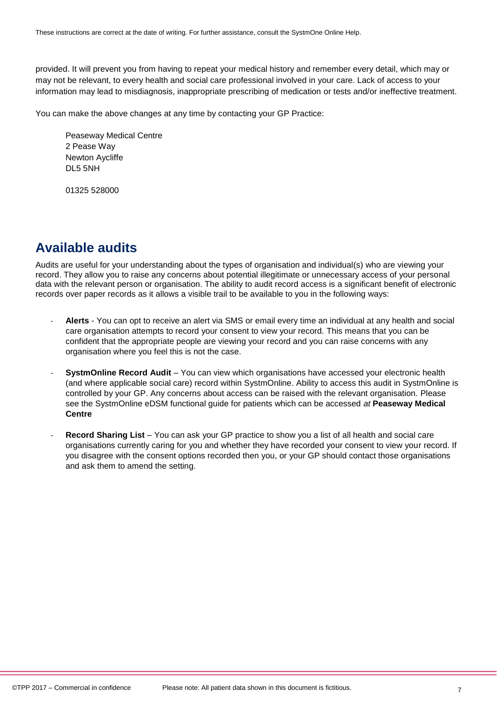provided. It will prevent you from having to repeat your medical history and remember every detail, which may or may not be relevant, to every health and social care professional involved in your care. Lack of access to your information may lead to misdiagnosis, inappropriate prescribing of medication or tests and/or ineffective treatment.

You can make the above changes at any time by contacting your GP Practice:

Peaseway Medical Centre 2 Pease Way Newton Aycliffe DL5 5NH

01325 528000

# <span id="page-6-0"></span>**Available audits**

Audits are useful for your understanding about the types of organisation and individual(s) who are viewing your record. They allow you to raise any concerns about potential illegitimate or unnecessary access of your personal data with the relevant person or organisation. The ability to audit record access is a significant benefit of electronic records over paper records as it allows a visible trail to be available to you in the following ways:

- **Alerts** You can opt to receive an alert via SMS or email every time an individual at any health and social care organisation attempts to record your consent to view your record. This means that you can be confident that the appropriate people are viewing your record and you can raise concerns with any organisation where you feel this is not the case.
- **SystmOnline Record Audit** You can view which organisations have accessed your electronic health (and where applicable social care) record within SystmOnline. Ability to access this audit in SystmOnline is controlled by your GP. Any concerns about access can be raised with the relevant organisation. Please see the SystmOnline eDSM functional guide for patients which can be accessed *at* **Peaseway Medical Centre**
- **Record Sharing List** You can ask your GP practice to show you a list of all health and social care organisations currently caring for you and whether they have recorded your consent to view your record. If you disagree with the consent options recorded then you, or your GP should contact those organisations and ask them to amend the setting.